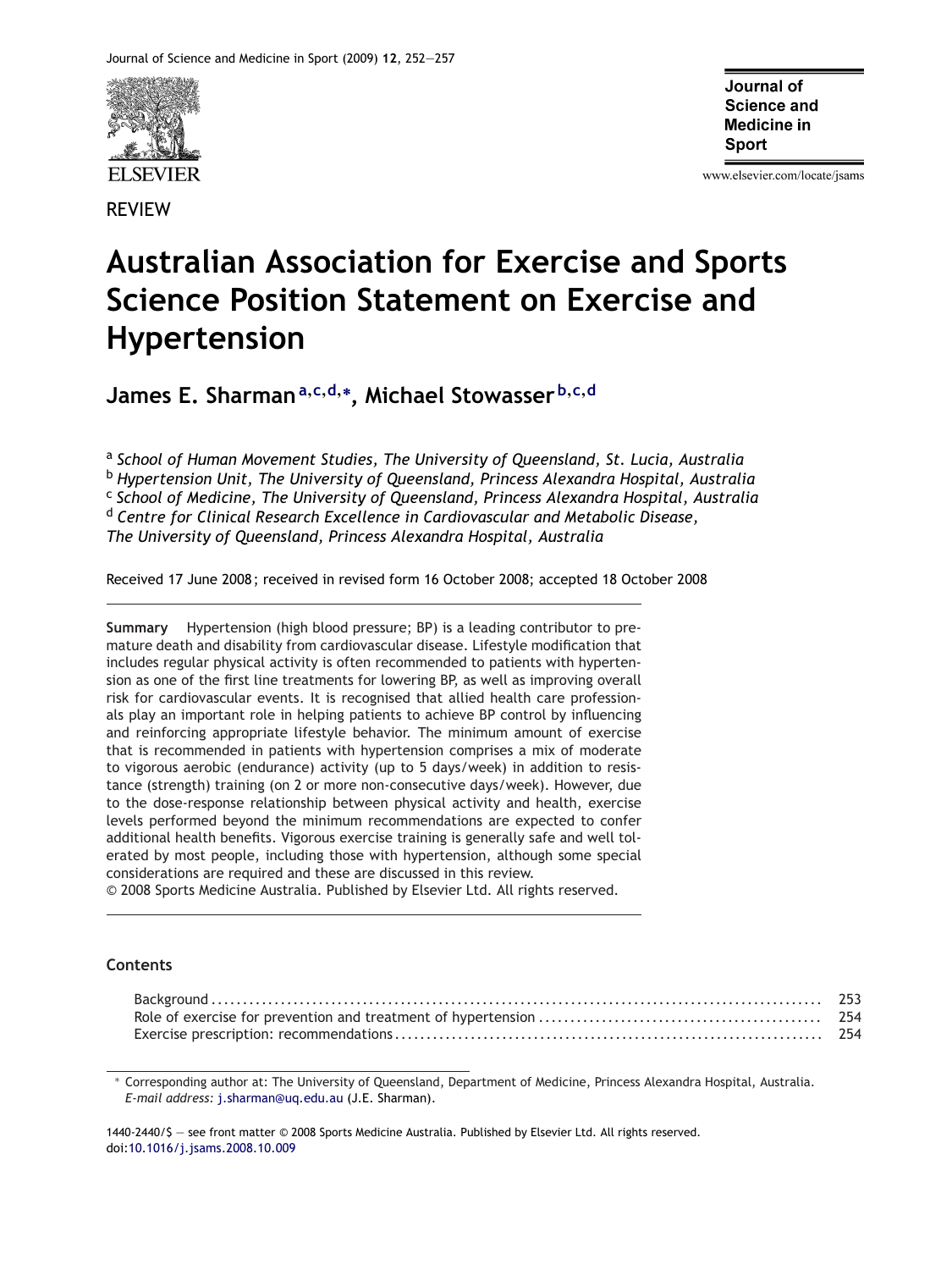

REVIEW

Journal of Science and **Medicine in Sport** 

www.elsevier.com/locate/jsams

# **Australian Association for Exercise and Sports Science Position Statement on Exercise and Hypertension**

**James E. Sharman<sup>a</sup>,c,d,<sup>∗</sup> , Michael Stowasser <sup>b</sup>,c,<sup>d</sup>**

<sup>a</sup> *School of Human Movement Studies, The University of Queensland, St. Lucia, Australia* <sup>b</sup> *Hypertension Unit, The University of Queensland, Princess Alexandra Hospital, Australia* <sup>c</sup> *School of Medicine, The University of Queensland, Princess Alexandra Hospital, Australia* <sup>d</sup> *Centre for Clinical Research Excellence in Cardiovascular and Metabolic Disease, The University of Queensland, Princess Alexandra Hospital, Australia*

Received 17 June 2008 ; received in revised form 16 October 2008; accepted 18 October 2008

**Summary** Hypertension (high blood pressure; BP) is a leading contributor to premature death and disability from cardiovascular disease. Lifestyle modification that includes regular physical activity is often recommended to patients with hypertension as one of the first line treatments for lowering BP, as well as improving overall risk for cardiovascular events. It is recognised that allied health care professionals play an important role in helping patients to achieve BP control by influencing and reinforcing appropriate lifestyle behavior. The minimum amount of exercise that is recommended in patients with hypertension comprises a mix of moderate to vigorous aerobic (endurance) activity (up to 5 days/week) in addition to resistance (strength) training (on 2 or more non-consecutive days/week). However, due to the dose-response relationship between physical activity and health, exercise levels performed beyond the minimum recommendations are expected to confer additional health benefits. Vigorous exercise training is generally safe and well tolerated by most people, including those with hypertension, although some special considerations are required and these are discussed in this review.

© 2008 Sports Medicine Australia. Published by Elsevier Ltd. All rights reserved.

## **Contents**

∗ Corresponding author at: The University of Queensland, Department of Medicine, Princess Alexandra Hospital, Australia. *E-mail address:* [j.sharman@uq.edu.au](mailto:j.sharman@uq.edu.au) (J.E. Sharman).

1440-2440/\$ — see front matter © 2008 Sports Medicine Australia. Published by Elsevier Ltd. All rights reserved. doi[:10.1016/j.jsams.2008.10.009](dx.doi.org/10.1016/j.jsams.2008.10.009)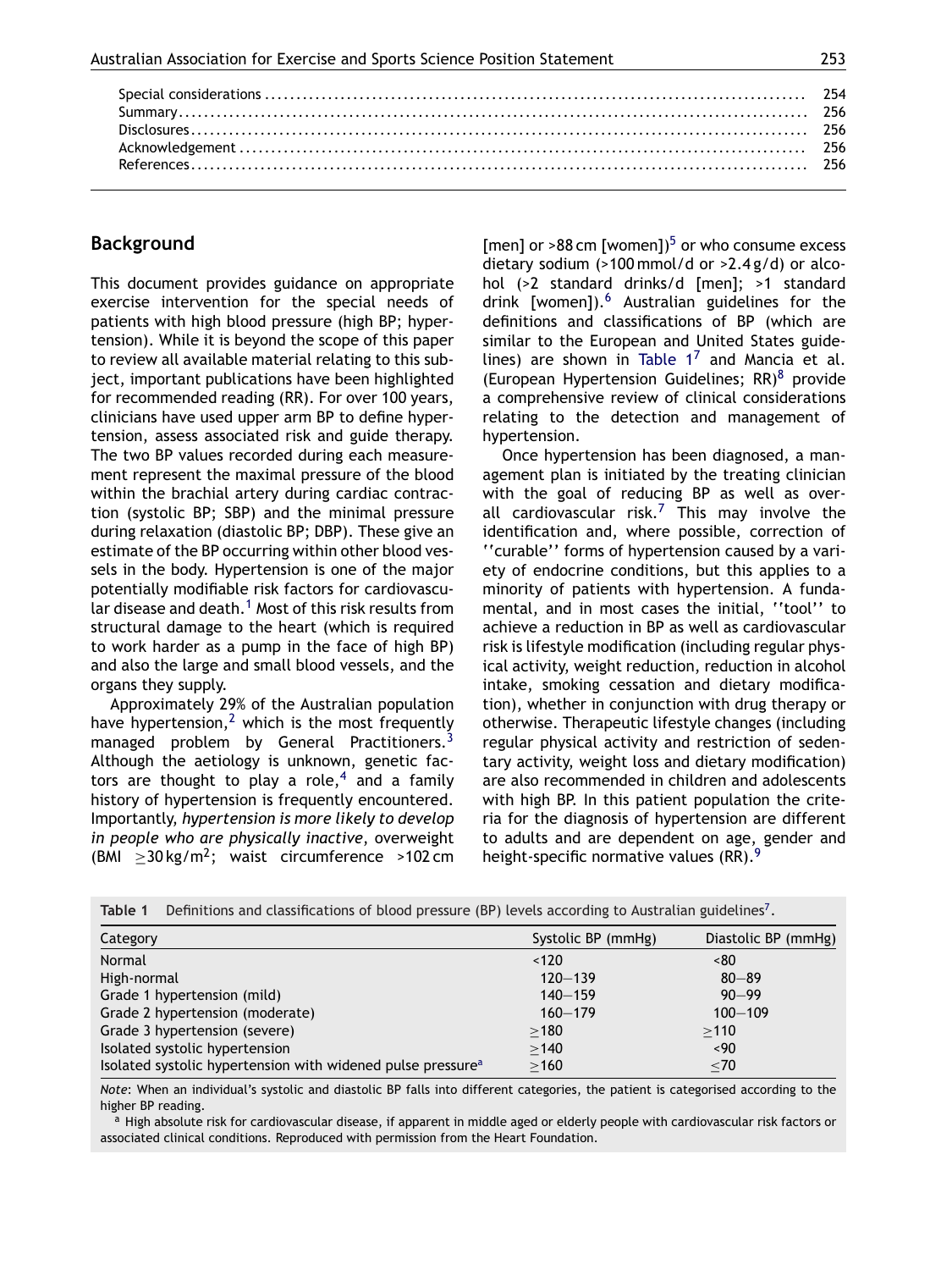<span id="page-1-0"></span>

# **Background**

This document provides guidance on appropriate exercise intervention for the special needs of patients with high blood pressure (high BP; hypertension). While it is beyond the scope of this paper to review all available material relating to this subject, important publications have been highlighted for recommended reading (RR). For over 100 years, clinicians have used upper arm BP to define hypertension, assess associated risk and guide therapy. The two BP values recorded during each measurement represent the maximal pressure of the blood within the brachial artery during cardiac contraction (systolic BP; SBP) and the minimal pressure during relaxation (diastolic BP; DBP). These give an estimate of the BP occurring within other blood vessels in the body. Hypertension is one of the major potentially modifiable risk factors for cardiovascu-lar disease and death.<sup>[1](#page-4-0)</sup> Most of this risk results from structural damage to the heart (which is required to work harder as a pump in the face of high BP) and also the large and small blood vessels, and the organs they supply.

Approximately 29% of the Australian population have hypertension,<sup>[2](#page-4-0)</sup> which is the most frequently managed problem by General Practitioners.<sup>[3](#page-4-0)</sup> Although the aetiology is unknown, genetic fac-tors are thought to play a role,<sup>[4](#page-4-0)</sup> and a family history of hypertension is frequently encountered. Importantly, *hypertension is more likely to develop in people who are physically inactive*, overweight (BMI  $\geq$ 30 kg/m<sup>2</sup>; waist circumference >102 cm [men] or  $>88$  cm [women])<sup>[5](#page-4-0)</sup> or who consume excess dietary sodium (>100 mmol/d or >2.4 g/d) or alcohol (>2 standard drinks/d [men]; >1 standard drink [women]).<sup>6</sup> Australian guidelines for the definitions and classifications of BP (which are similar to the European and United States guidelines) are shown in Table  $1^7$  $1^7$  and Mancia et al. (European Hypertension Guidelines;  $RR)^8$  $RR)^8$  provide a comprehensive review of clinical considerations relating to the detection and management of hypertension.

Once hypertension has been diagnosed, a management plan is initiated by the treating clinician with the goal of reducing BP as well as over-all cardiovascular risk.<sup>[7](#page-4-0)</sup> This may involve the identification and, where possible, correction of ''curable'' forms of hypertension caused by a variety of endocrine conditions, but this applies to a minority of patients with hypertension. A fundamental, and in most cases the initial, ''tool'' to achieve a reduction in BP as well as cardiovascular risk is lifestyle modification (including regular physical activity, weight reduction, reduction in alcohol intake, smoking cessation and dietary modification), whether in conjunction with drug therapy or otherwise. Therapeutic lifestyle changes (including regular physical activity and restriction of sedentary activity, weight loss and dietary modification) are also recommended in children and adolescents with high BP. In this patient population the criteria for the diagnosis of hypertension are different to adults and are dependent on age, gender and height-specific normative values (RR).<sup>[9](#page-4-0)</sup>

| Definitions and classifications of blood pressure (BP) levels according to Australian guidelines <sup>7</sup> .<br>Table 1 |                    |                     |  |  |  |
|----------------------------------------------------------------------------------------------------------------------------|--------------------|---------------------|--|--|--|
| Category                                                                                                                   | Systolic BP (mmHg) | Diastolic BP (mmHg) |  |  |  |
| Normal                                                                                                                     | < 120              | ~80                 |  |  |  |
| High-normal                                                                                                                | $120 - 139$        | $80 - 89$           |  |  |  |
| Grade 1 hypertension (mild)                                                                                                | $140 - 159$        | $90 - 99$           |  |  |  |
| Grade 2 hypertension (moderate)                                                                                            | $160 - 179$        | $100 - 109$         |  |  |  |
| Grade 3 hypertension (severe)                                                                                              | >180               | >110                |  |  |  |
| Isolated systolic hypertension                                                                                             | >140               | $~<$ 90             |  |  |  |
| Isolated systolic hypertension with widened pulse pressure <sup>a</sup>                                                    | $\geq$ 160         | $<$ 70              |  |  |  |

*Note*: When an individual's systolic and diastolic BP falls into different categories, the patient is categorised according to the higher BP reading.

<sup>a</sup> High absolute risk for cardiovascular disease, if apparent in middle aged or elderly people with cardiovascular risk factors or associated clinical conditions. Reproduced with permission from the Heart Foundation.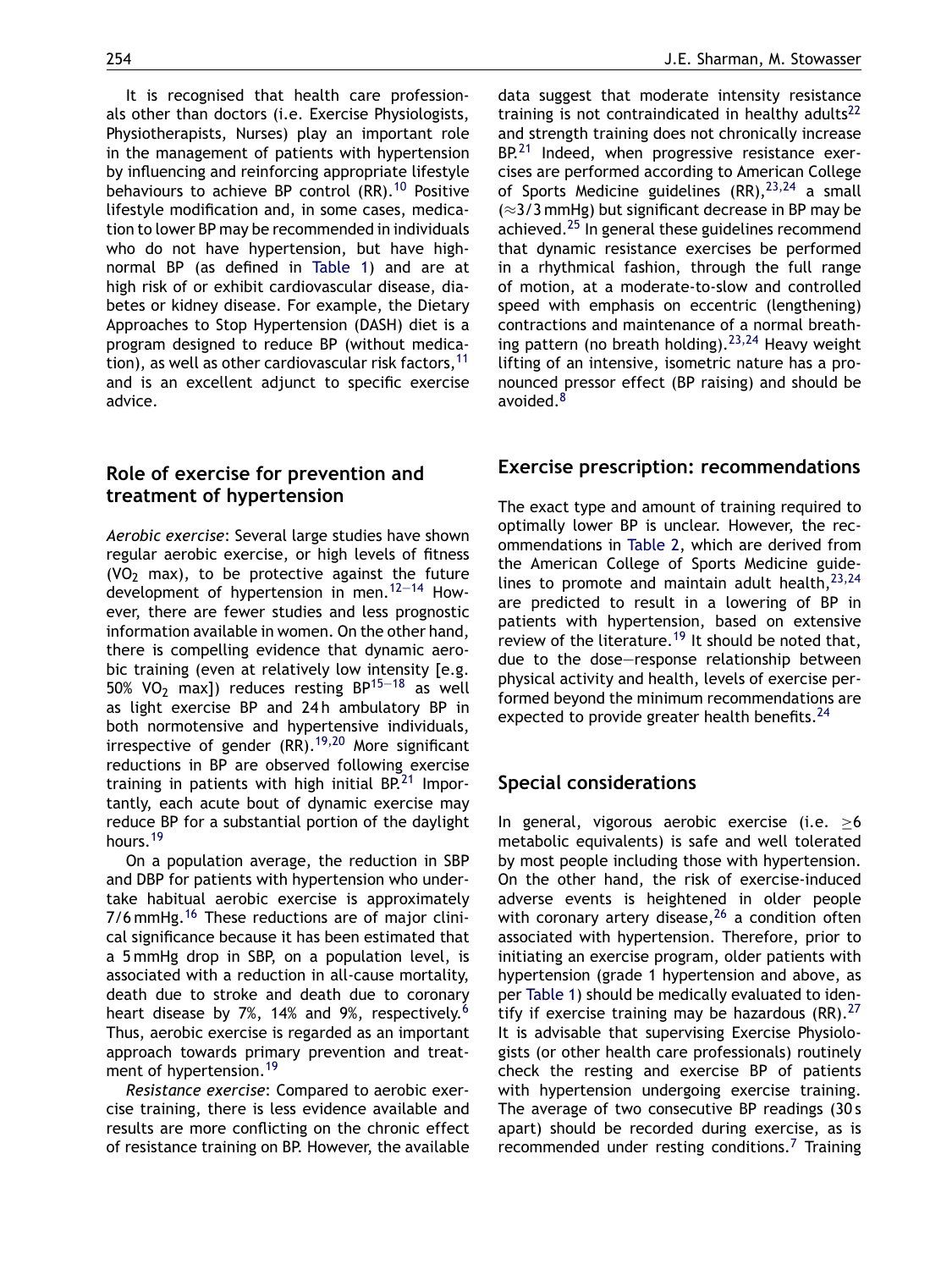It is recognised that health care professionals other than doctors (i.e. Exercise Physiologists, Physiotherapists, Nurses) play an important role in the management of patients with hypertension by influencing and reinforcing appropriate lifestyle behaviours to achieve BP control (RR).<sup>[10](#page-4-0)</sup> Positive lifestyle modification and, in some cases, medication to lower BP may be recommended in individuals who do not have hypertension, but have highnormal BP (as defined in [Table 1\)](#page-1-0) and are at high risk of or exhibit cardiovascular disease, diabetes or kidney disease. For example, the Dietary Approaches to Stop Hypertension (DASH) diet is a program designed to reduce BP (without medication), as well as other cardiovascular risk factors,  $11$ and is an excellent adjunct to specific exercise advice.

# **Role of exercise for prevention and treatment of hypertension**

*Aerobic exercise*: Several large studies have shown regular aerobic exercise, or high levels of fitness (VO<sub>2</sub> max), to be protective against the future development of hypertension in men.[12—14](#page-5-0) However, there are fewer studies and less prognostic information available in women. On the other hand, there is compelling evidence that dynamic aerobic training (even at relatively low intensity [e.g. 50% VO<sub>2</sub> max]) reduces resting BP<sup>15-18</sup> as well as light exercise BP and 24h ambulatory BP in both normotensive and hypertensive individuals, irrespective of gender  $(RR)$ .<sup>[19,20](#page-5-0)</sup> More significant reductions in BP are observed following exercise training in patients with high initial  $BP<sup>21</sup>$  $BP<sup>21</sup>$  $BP<sup>21</sup>$  Importantly, each acute bout of dynamic exercise may reduce BP for a substantial portion of the daylight hours.<sup>19</sup>

On a population average, the reduction in SBP and DBP for patients with hypertension who undertake habitual aerobic exercise is approximately 7/6 mmHg.<sup>[16](#page-5-0)</sup> These reductions are of major clinical significance because it has been estimated that a 5 mmHg drop in SBP, on a population level, is associated with a reduction in all-cause mortality, death due to stroke and death due to coronary heart disease by 7%, 14% and 9%, respectively.<sup>[6](#page-4-0)</sup> Thus, aerobic exercise is regarded as an important approach towards primary prevention and treat-ment of hypertension.<sup>[19](#page-5-0)</sup>

*Resistance exercise*: Compared to aerobic exercise training, there is less evidence available and results are more conflicting on the chronic effect of resistance training on BP. However, the available

data suggest that moderate intensity resistance training is not contraindicated in healthy adults<sup>[22](#page-5-0)</sup> and strength training does not chronically increase BP.<sup>[21](#page-5-0)</sup> Indeed, when progressive resistance exercises are performed according to American College of Sports Medicine guidelines  $(RR)$ ,  $2^{3,24}$  a small (≈3/3 mmHg) but significant decrease in BP may be achieved.<sup>[25](#page-5-0)</sup> In general these guidelines recommend that dynamic resistance exercises be performed in a rhythmical fashion, through the full range of motion, at a moderate-to-slow and controlled speed with emphasis on eccentric (lengthening) contractions and maintenance of a normal breathing pattern (no breath holding).  $23,24$  Heavy weight lifting of an intensive, isometric nature has a pronounced pressor effect (BP raising) and should be avoided.<sup>8</sup>

# **Exercise prescription: recommendations**

The exact type and amount of training required to optimally lower BP is unclear. However, the recommendations in [Table 2,](#page-3-0) which are derived from the American College of Sports Medicine guidelines to promote and maintain adult health,  $23,24$ are predicted to result in a lowering of BP in patients with hypertension, based on extensive review of the literature.<sup>[19](#page-5-0)</sup> It should be noted that, due to the dose—response relationship between physical activity and health, levels of exercise performed beyond the minimum recommendations are expected to provide greater health benefits.<sup>[24](#page-5-0)</sup>

# **Special considerations**

In general, vigorous aerobic exercise (i.e. ≥6 metabolic equivalents) is safe and well tolerated by most people including those with hypertension. On the other hand, the risk of exercise-induced adverse events is heightened in older people with coronary artery disease,  $26$  a condition often associated with hypertension. Therefore, prior to initiating an exercise program, older patients with hypertension (grade 1 hypertension and above, as per [Table 1\)](#page-1-0) should be medically evaluated to identify if exercise training may be hazardous  $(RR)$ .<sup>[27](#page-5-0)</sup> It is advisable that supervising Exercise Physiologists (or other health care professionals) routinely check the resting and exercise BP of patients with hypertension undergoing exercise training. The average of two consecutive BP readings (30 s apart) should be recorded during exercise, as is recommended under resting conditions.<sup>[7](#page-4-0)</sup> Training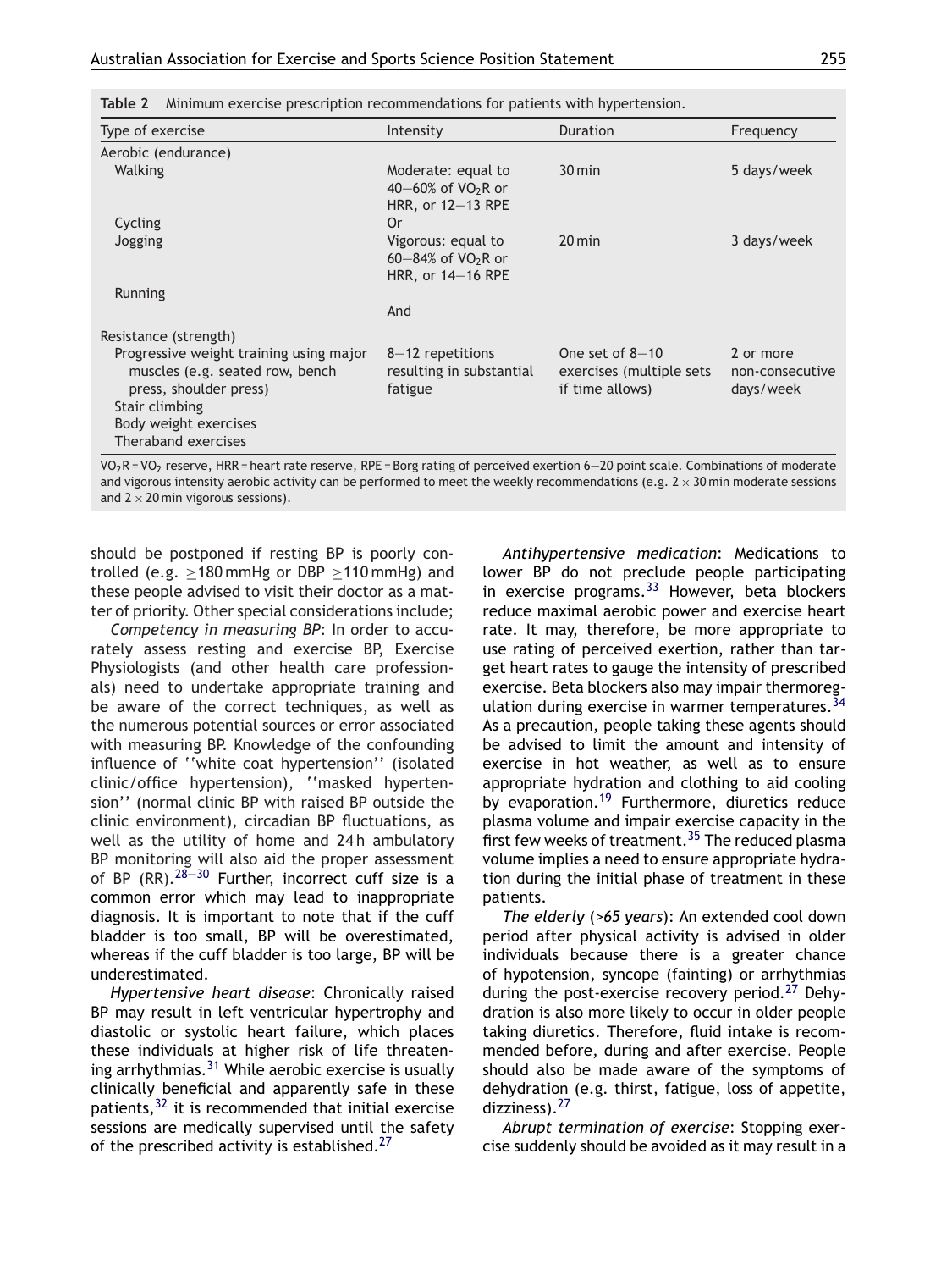| Type of exercise                                                                                                                                | Intensity                                                                     | <b>Duration</b>                                                  | Frequency                                 |
|-------------------------------------------------------------------------------------------------------------------------------------------------|-------------------------------------------------------------------------------|------------------------------------------------------------------|-------------------------------------------|
| Aerobic (endurance)                                                                                                                             |                                                                               |                                                                  |                                           |
| <b>Walking</b>                                                                                                                                  | Moderate: equal to<br>40–60% of $VO_2R$ or<br>HRR, or $12-13$ RPE             | $30 \,\mathrm{min}$                                              | 5 days/week                               |
| Cycling                                                                                                                                         | 0r                                                                            |                                                                  |                                           |
| Jogging                                                                                                                                         | Vigorous: equal to<br>60 $-84\%$ of VO <sub>2</sub> R or<br>HRR, or 14-16 RPE | $20$ min                                                         | 3 days/week                               |
| Running                                                                                                                                         |                                                                               |                                                                  |                                           |
|                                                                                                                                                 | And                                                                           |                                                                  |                                           |
| Resistance (strength)                                                                                                                           |                                                                               |                                                                  |                                           |
| Progressive weight training using major<br>muscles (e.g. seated row, bench<br>press, shoulder press)<br>Stair climbing<br>Body weight exercises | $8-12$ repetitions<br>resulting in substantial<br>fatigue                     | One set of $8-10$<br>exercises (multiple sets<br>if time allows) | 2 or more<br>non-consecutive<br>days/week |
| Theraband exercises                                                                                                                             |                                                                               |                                                                  |                                           |

<span id="page-3-0"></span>**Table 2** Minimum exercise prescription recommendations for patients with hypertension.

 $VO<sub>2</sub>R = VO<sub>2</sub>$  reserve, HRR = heart rate reserve, RPE = Borg rating of perceived exertion 6–20 point scale. Combinations of moderate and vigorous intensity aerobic activity can be performed to meet the weekly recommendations (e.g.  $2 \times 30$  min moderate sessions and  $2 \times 20$  min vigorous sessions).

should be postponed if resting BP is poorly controlled (e.g.  $\geq$ 180 mmHg or DBP  $\geq$ 110 mmHg) and these people advised to visit their doctor as a matter of priority. Other special considerations include;

*Competency in measuring BP*: In order to accurately assess resting and exercise BP, Exercise Physiologists (and other health care professionals) need to undertake appropriate training and be aware of the correct techniques, as well as the numerous potential sources or error associated with measuring BP. Knowledge of the confounding influence of ''white coat hypertension'' (isolated clinic/office hypertension), ''masked hypertension'' (normal clinic BP with raised BP outside the clinic environment), circadian BP fluctuations, as well as the utility of home and 24h ambulatory BP monitoring will also aid the proper assessment of BP (RR).  $28-30$  Further, incorrect cuff size is a common error which may lead to inappropriate diagnosis. It is important to note that if the cuff bladder is too small, BP will be overestimated, whereas if the cuff bladder is too large, BP will be underestimated.

*Hypertensive heart disease*: Chronically raised BP may result in left ventricular hypertrophy and diastolic or systolic heart failure, which places these individuals at higher risk of life threatening arrhythmias. $31$  While aerobic exercise is usually clinically beneficial and apparently safe in these patients,[32](#page-5-0) it is recommended that initial exercise sessions are medically supervised until the safety of the prescribed activity is established.<sup>[27](#page-5-0)</sup>

*Antihypertensive medication*: Medications to lower BP do not preclude people participating in exercise programs.  $33$  However, beta blockers reduce maximal aerobic power and exercise heart rate. It may, therefore, be more appropriate to use rating of perceived exertion, rather than target heart rates to gauge the intensity of prescribed exercise. Beta blockers also may impair thermoreg-ulation during exercise in warmer temperatures.<sup>[34](#page-5-0)</sup> As a precaution, people taking these agents should be advised to limit the amount and intensity of exercise in hot weather, as well as to ensure appropriate hydration and clothing to aid cooling by evaporation.<sup>[19](#page-5-0)</sup> Furthermore, diuretics reduce plasma volume and impair exercise capacity in the first few weeks of treatment.<sup>[35](#page-5-0)</sup> The reduced plasma volume implies a need to ensure appropriate hydration during the initial phase of treatment in these patients.

*The elderly* (*>65 years*): An extended cool down period after physical activity is advised in older individuals because there is a greater chance of hypotension, syncope (fainting) or arrhythmias during the post-exercise recovery period.<sup>[27](#page-5-0)</sup> Dehydration is also more likely to occur in older people taking diuretics. Therefore, fluid intake is recommended before, during and after exercise. People should also be made aware of the symptoms of dehydration (e.g. thirst, fatigue, loss of appetite, dizziness).<sup>[27](#page-5-0)</sup>

*Abrupt termination of exercise*: Stopping exercise suddenly should be avoided as it may result in a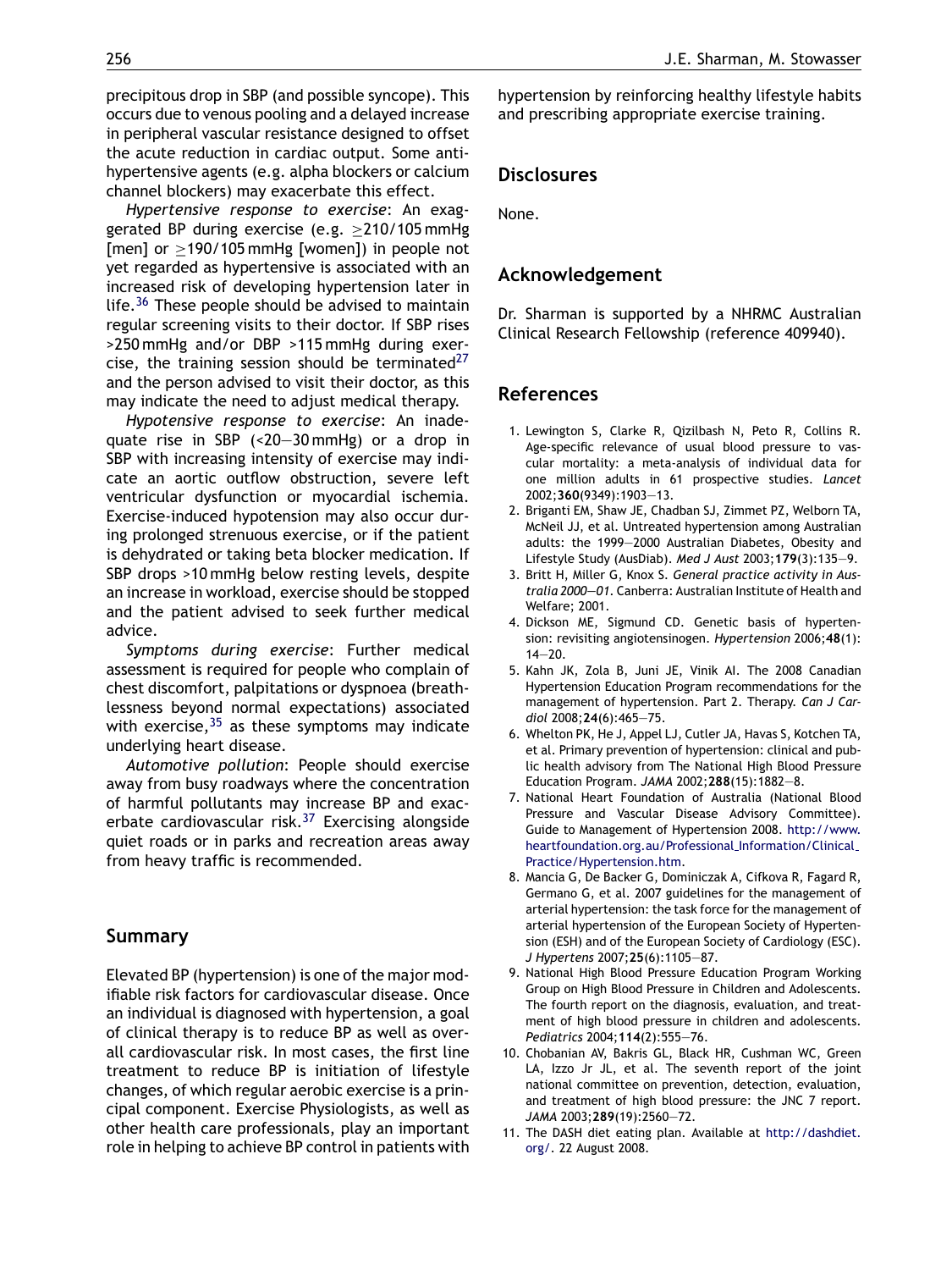<span id="page-4-0"></span>precipitous drop in SBP (and possible syncope). This occurs due to venous pooling and a delayed increase in peripheral vascular resistance designed to offset the acute reduction in cardiac output. Some antihypertensive agents (e.g. alpha blockers or calcium channel blockers) may exacerbate this effect.

*Hypertensive response to exercise*: An exaggerated BP during exercise (e.g.  $\geq$ 210/105 mmHg [men] or ≥190/105 mmHg [women]) in people not yet regarded as hypertensive is associated with an increased risk of developing hypertension later in life.<sup>[36](#page-5-0)</sup> These people should be advised to maintain regular screening visits to their doctor. If SBP rises >250 mmHg and/or DBP >115 mmHg during exercise, the training session should be terminated $27$ and the person advised to visit their doctor, as this may indicate the need to adjust medical therapy.

*Hypotensive response to exercise*: An inadequate rise in SBP (<20—30 mmHg) or a drop in SBP with increasing intensity of exercise may indicate an aortic outflow obstruction, severe left ventricular dysfunction or myocardial ischemia. Exercise-induced hypotension may also occur during prolonged strenuous exercise, or if the patient is dehydrated or taking beta blocker medication. If SBP drops >10 mmHg below resting levels, despite an increase in workload, exercise should be stopped and the patient advised to seek further medical advice.

*Symptoms during exercise*: Further medical assessment is required for people who complain of chest discomfort, palpitations or dyspnoea (breathlessness beyond normal expectations) associated with exercise,  $35$  as these symptoms may indicate underlying heart disease.

*Automotive pollution*: People should exercise away from busy roadways where the concentration of harmful pollutants may increase BP and exacerbate cardiovascular risk.[37](#page-5-0) Exercising alongside quiet roads or in parks and recreation areas away from heavy traffic is recommended.

## **Summary**

Elevated BP (hypertension) is one of the major modifiable risk factors for cardiovascular disease. Once an individual is diagnosed with hypertension, a goal of clinical therapy is to reduce BP as well as overall cardiovascular risk. In most cases, the first line treatment to reduce BP is initiation of lifestyle changes, of which regular aerobic exercise is a principal component. Exercise Physiologists, as well as other health care professionals, play an important role in helping to achieve BP control in patients with hypertension by reinforcing healthy lifestyle habits and prescribing appropriate exercise training.

## **Disclosures**

None.

### **Acknowledgement**

Dr. Sharman is supported by a NHRMC Australian Clinical Research Fellowship (reference 409940).

# **References**

- 1. Lewington S, Clarke R, Qizilbash N, Peto R, Collins R. Age-specific relevance of usual blood pressure to vascular mortality: a meta-analysis of individual data for one million adults in 61 prospective studies. *Lancet* 2002;**360**(9349):1903—13.
- 2. Briganti EM, Shaw JE, Chadban SJ, Zimmet PZ, Welborn TA, McNeil JJ, et al. Untreated hypertension among Australian adults: the 1999—2000 Australian Diabetes, Obesity and Lifestyle Study (AusDiab). *Med J Aust* 2003;**179**(3):135—9.
- 3. Britt H, Miller G, Knox S. *General practice activity in Australia 2000—01*. Canberra: Australian Institute of Health and Welfare; 2001.
- 4. Dickson ME, Sigmund CD. Genetic basis of hypertension: revisiting angiotensinogen. *Hypertension* 2006;**48**(1): 14—20.
- 5. Kahn JK, Zola B, Juni JE, Vinik AI. The 2008 Canadian Hypertension Education Program recommendations for the management of hypertension. Part 2. Therapy. *Can J Cardiol* 2008;**24**(6):465—75.
- 6. Whelton PK, He J, Appel LJ, Cutler JA, Havas S, Kotchen TA, et al. Primary prevention of hypertension: clinical and public health advisory from The National High Blood Pressure Education Program. *JAMA* 2002;**288**(15):1882—8.
- 7. National Heart Foundation of Australia (National Blood Pressure and Vascular Disease Advisory Committee). Guide to Management of Hypertension 2008. [http://www.](http://www.heartfoundation.org.au/Professional_Information/Clinical_Practice/Hypertension.htm) [heartfoundation.org.au/Professional](http://www.heartfoundation.org.au/Professional_Information/Clinical_Practice/Hypertension.htm) Information/Clinical Practice/Hypertension.htm.
- 8. Mancia G, De Backer G, Dominiczak A, Cifkova R, Fagard R, Germano G, et al. 2007 guidelines for the management of arterial hypertension: the task force for the management of arterial hypertension of the European Society of Hypertension (ESH) and of the European Society of Cardiology (ESC). *J Hypertens* 2007;**25**(6):1105—87.
- 9. National High Blood Pressure Education Program Working Group on High Blood Pressure in Children and Adolescents. The fourth report on the diagnosis, evaluation, and treatment of high blood pressure in children and adolescents. *Pediatrics* 2004;**114**(2):555—76.
- 10. Chobanian AV, Bakris GL, Black HR, Cushman WC, Green LA, Izzo Jr JL, et al. The seventh report of the joint national committee on prevention, detection, evaluation, and treatment of high blood pressure: the JNC 7 report. *JAMA* 2003;**289**(19):2560—72.
- 11. The DASH diet eating plan. Available at [http://dashdiet.](http://dashdiet.org/) [org/](http://dashdiet.org/). 22 August 2008.